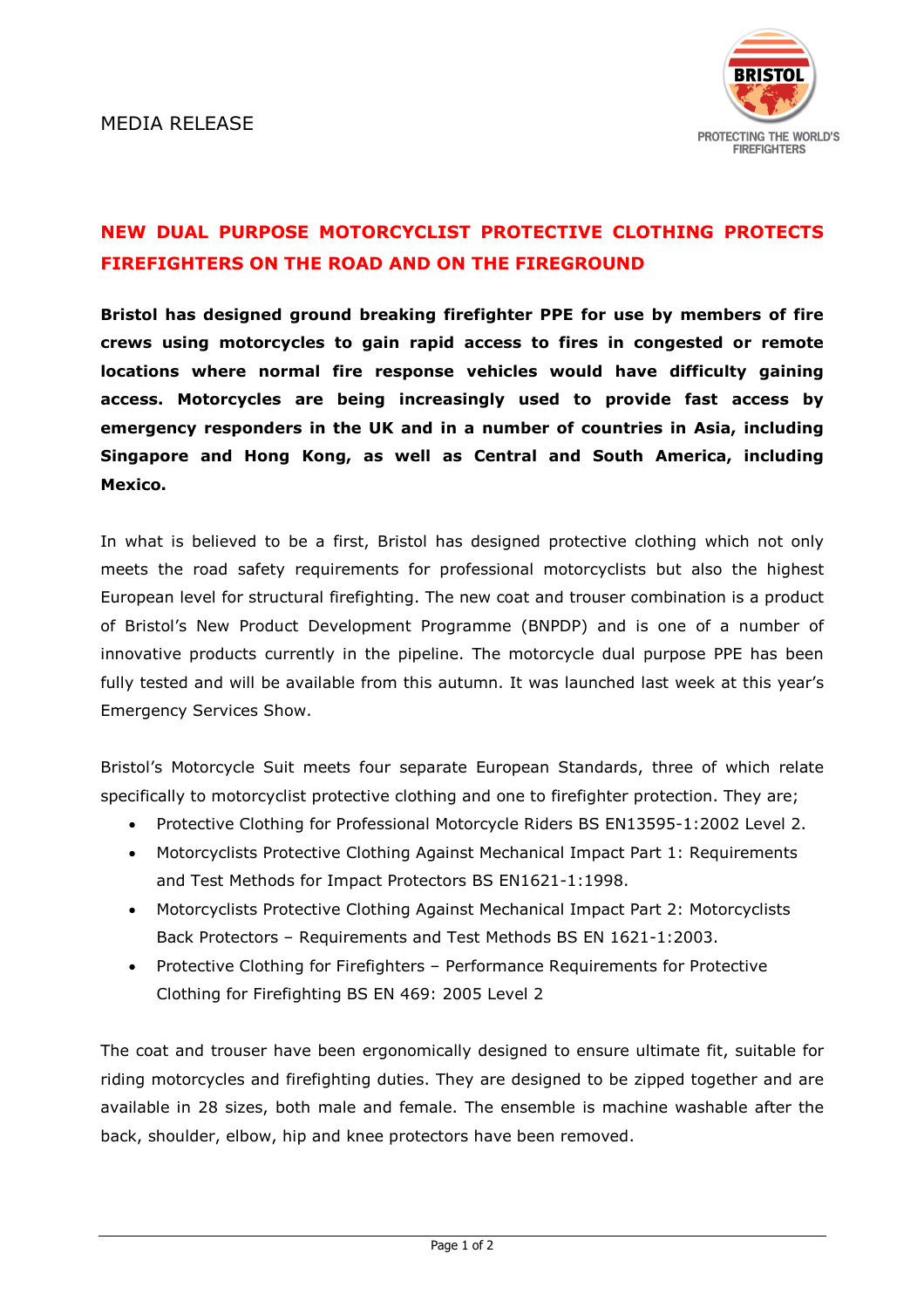

## NEW DUAL PURPOSE MOTORCYCLIST PROTECTIVE CLOTHING PROTECTS FIREFIGHTERS ON THE ROAD AND ON THE FIREGROUND

Bristol has designed ground breaking firefighter PPE for use by members of fire crews using motorcycles to gain rapid access to fires in congested or remote locations where normal fire response vehicles would have difficulty gaining access. Motorcycles are being increasingly used to provide fast access by emergency responders in the UK and in a number of countries in Asia, including Singapore and Hong Kong, as well as Central and South America, including Mexico.

In what is believed to be a first, Bristol has designed protective clothing which not only meets the road safety requirements for professional motorcyclists but also the highest European level for structural firefighting. The new coat and trouser combination is a product of Bristol's New Product Development Programme (BNPDP) and is one of a number of innovative products currently in the pipeline. The motorcycle dual purpose PPE has been fully tested and will be available from this autumn. It was launched last week at this year's Emergency Services Show.

Bristol's Motorcycle Suit meets four separate European Standards, three of which relate specifically to motorcyclist protective clothing and one to firefighter protection. They are;

- Protective Clothing for Professional Motorcycle Riders BS EN13595-1:2002 Level 2.
- Motorcyclists Protective Clothing Against Mechanical Impact Part 1: Requirements and Test Methods for Impact Protectors BS EN1621-1:1998.
- Motorcyclists Protective Clothing Against Mechanical Impact Part 2: Motorcyclists Back Protectors – Requirements and Test Methods BS EN 1621-1:2003.
- Protective Clothing for Firefighters Performance Requirements for Protective Clothing for Firefighting BS EN 469: 2005 Level 2

The coat and trouser have been ergonomically designed to ensure ultimate fit, suitable for riding motorcycles and firefighting duties. They are designed to be zipped together and are available in 28 sizes, both male and female. The ensemble is machine washable after the back, shoulder, elbow, hip and knee protectors have been removed.